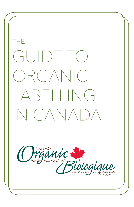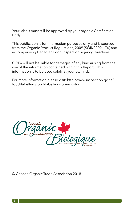Your labels must still be approved by your organic Certification Body.

This publication is for information purposes only and is sourced from the Organic Product Regulations, 2009 (SOR/2009-176) and accompanying Canadian Food Inspection Agency Directives.

COTA will not be liable for damages of any kind arising from the use of the information contained within this Report. This information is to be used solely at your own risk.

For more information please visit: http://www.inspection.gc.ca/ food/labelling/food-labelling-for-industry



© Canada Organic Trade Association 2018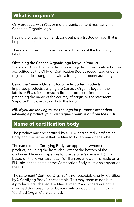## **What is organic?**

Only products with 95% or more organic content may carry the Canadian Organic Logo.

Having the logo is not mandatory, but it is a trusted symbol that is helpful for consumers.

There are no restrictions as to size or location of the logo on your label.

#### **Obtaining the Canada Organic logo for your Product:**

You must obtain the Canada Organic logo from Certification Bodies accredited by the CFIA or Certification Bodies recognized under an organic trade arrangement with a foreign competent authority.

#### **Using the Canada Organic logo for Imported Products:**

Imported products carrying the Canada Organic logo on their labels or PLU stickers must indicate 'product of' immediately preceding the name of the country of origin, or the statement 'imported' in close proximity to the logo.

#### *NB: If you are looking to use the logo for purposes other than labelling a product, you must request permission from the CFIA*.

### **Name of certification body**

The product must be certified by a CFIA-accredited Certification Body and the name of that certifier MUST appear on the label.

The name of the Certifying Body can appear anywhere on the product, including the front label, except the bottom of the container. Minimum type size for the certifier's name is 1.6mm based on the lower-case letter "o". If an organic claim is made on a PLU sticker, the name of the Certification Body must also appear on the PLU.

The statement "Certified Organic" is not acceptable, only "Certified by X Certifying Body" is acceptable. This may seem minor, but if products are labelled 'Certified Organic' and others are not, it may lead the consumer to believe only products claiming to be 'Certified Organic' are certified.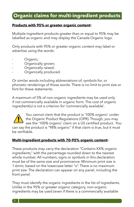# **Organic claims for multi-ingredient products**

#### **Products with 95% or greater organic content:**

Multiple-ingredient products greater than or equal to 95% may be labelled as organic and may display the Canada Organic logo.

Only products with 95% or greater organic content may label or advertise using the words:

- Organic;
- Organically grown;
- Organically raised;
- Organically produced.

Or similar words including abbreviations of, symbols for, or phonetic renderings of those words. There is no limit to print size or font for these statements.

A maximum of 5% of non-organic ingredients may be used only if not commercially available in organic form. The cost of organic ingredient(s) is not a criterion for 'commercially available'.



You cannot claim that the product is '100% organic' under the Organic Product Regulations (OPR). Though, you may see the '100% organic' claim on a US certified product. You

can say the product is "98% organic" if that claim is true, but it must be verifiable.

#### **Multi-ingredient products with 70-95% organic content:**

These products may carry the declaration "Contains XX% organic ingredients," with the percentage rounded down to the nearest whole number. All numbers, signs or symbols in this declaration must be of the same size and prominence. Minimum print size is 1.6mm, based on the lowercase letter "o". There is no maximum print size. The declaration can appear on any panel, including the front panel.

They must identify the organic ingredients in the list of ingredients. Unlike in the 95% or greater organic category, non-organic ingredients may be used (even if there is a commercially available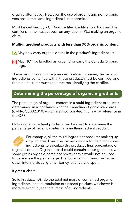organic alternative). However, the use of organic and non-organic versions of the same ingredient is not permitted.

Must be certified by a CFIA-accredited Certification Body and the certifier's name must appear on any label or PLU making an organic claim.

#### **Multi-ingredient products with less than 70% organic content**:

 $\sqrt{\sqrt{}}$  May only carry organic claims in the product's ingredient list.

**X** May NOT be labelled as 'organic' or carry the Canada Organic logo.

These products do not require certification. However, the organic ingredients contained within these products must be certified, and the manufacturer must keep records identifying the certifier.

### **Determining the percentage of organicIingredients**

The percentage of organic content in a multi-ingredient product is determined in accordance with the Canadian Organic Standards (CAN/CGSB32.310) which are incorporated into law by reference in the OPR  $\overline{\phantom{a}}$ 

Only single ingredient products can be used to determine the percentage of organic content in a multi-ingredient product.



For example, all the multi-ingredient products making up organic bread must be broken down into their component ingredients to calculate the product's final percentage of organic content. Organic bread could contain a four-grain mix, with some grains organic, some not however this would not be used to determine the percentage. The four-grain mix must be broken down into individual grains - barley, oat, rye and spelt.

It gets trickier:

Solid Products: Divide the total net mass of combined organic ingredients in the formulation or finished product, whichever is more relevant, by the total mass of all ingredients.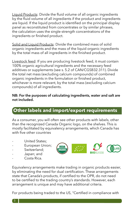Liquid Products: Divide the fluid volume of all organic ingredients by the fluid volume of all ingredients if the product and ingredients are liquid. If the liquid product is identified on the principal display panel as reconstituted from concentrates or by similar phrases, the calculation uses the single-strength concentrations of the ingredients or finished product.

Solid and Liquid Products: Divide the combined mass of solid organic ingredients and the mass of the liquid organic ingredients by the total mass of all ingredients in the finished product.

Livestock feed: If you are producing livestock feed, it must contain 100% organic agricultural ingredients and the necessary feed additives or supplements (see s. 5.2 of CAN/CGSB32.311). Divide the total net mass (excluding calcium compounds) of combined organic ingredients in the formulation or finished product, whichever is more relevant, by the total mass (excluding calcium compounds) of all ingredients.

#### **NB: For the purposes of calculating ingredients, water and salt are not included.**

## **Other labels and import/export requirements**

As a consumer, you will often see other products with labels, other than the recognized Canada Organic logo, on the shelves. This is mostly facilitated by equivalency arrangements, which Canada has with five other countries

- United States:
- European Union:
- Switzerland:
- Japan; and
- Costa Rica



Equivalency arrangements make trading in organic products easier, by eliminating the need for dual certification. These arrangements state that Canada's products, if certified to the OPR, do not need to be certified to the trading country's standards. However, each arrangement is unique and may have additional criteria.

For products being traded to the US, "Certified in compliance with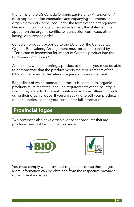the terms of the US-Canada Organic Equivalency Arrangement" must appear on documentation accompanying shipments of organic products, produced under the terms of the arrangement. Depending on what documentation is used, this statement may appear on the organic certificate, transaction certificate, bill of lading, or purchase order.

Canadian products exported to the EU under the Canada-EU Organic Equivalency Arrangement must be accompanied by a "Certificate of Inspection for Import of Organic product into the European Community".

At all times, when importing a product to Canada, you must be able to demonstrate that the product meets the requirements of the OPR, or the terms of the relevant equivalency arrangement.

Regardless of which standard a product is certified to, organic products must meet the labelling requirements of the country in which they are sold. Different countries also have different rules for using their organic logos. If you are seeking to sell your products in other countries, contact your certifier for full information.

# **Provincial logos**

Two provinces also have organic logos for products that are produced and sold within that province.





You must comply with provincial regulations to use these logos. More information can be obtained from the respective provincial government websites.